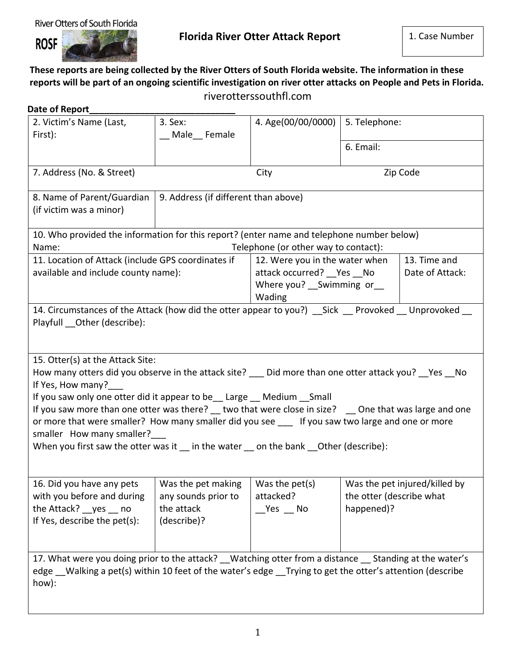## River Otters of South Florida



## **These reports are being collected by the River Otters of South Florida website. The information in these reports will be part of an ongoing scientific investigation on river otter attacks on People and Pets in Florida.** riverotterssouthfl.com

| 2. Victim's Name (Last,                                                                                                                                                                                                                     | 3. Sex:                                   | 4. Age(00/00/0000)                     | 5. Telephone:            |                               |
|---------------------------------------------------------------------------------------------------------------------------------------------------------------------------------------------------------------------------------------------|-------------------------------------------|----------------------------------------|--------------------------|-------------------------------|
| First):                                                                                                                                                                                                                                     | __ Male__ Female                          |                                        |                          |                               |
|                                                                                                                                                                                                                                             |                                           |                                        | 6. Email:                |                               |
| 7. Address (No. & Street)                                                                                                                                                                                                                   |                                           | City                                   | Zip Code                 |                               |
| 8. Name of Parent/Guardian   9. Address (if different than above)<br>(if victim was a minor)                                                                                                                                                |                                           |                                        |                          |                               |
| 10. Who provided the information for this report? (enter name and telephone number below)<br>Name:                                                                                                                                          |                                           | Telephone (or other way to contact):   |                          |                               |
| 11. Location of Attack (include GPS coordinates if                                                                                                                                                                                          |                                           | 12. Were you in the water when         |                          | 13. Time and                  |
| available and include county name):                                                                                                                                                                                                         |                                           | attack occurred? __ Yes __ No          |                          | Date of Attack:               |
|                                                                                                                                                                                                                                             |                                           | Where you? __ Swimming or __<br>Wading |                          |                               |
| 14. Circumstances of the Attack (how did the otter appear to you?) __ Sick __ Provoked __ Unprovoked __                                                                                                                                     |                                           |                                        |                          |                               |
|                                                                                                                                                                                                                                             |                                           |                                        |                          |                               |
| 15. Otter(s) at the Attack Site:<br>How many otters did you observe in the attack site? __ Did more than one otter attack you? __Yes __No<br>If Yes, How many?<br>If you saw only one otter did it appear to be __ Large __ Medium __ Small |                                           |                                        |                          |                               |
| If you saw more than one otter was there? _ two that were close in size? _ One that was large and one<br>or more that were smaller? How many smaller did you see ___ If you saw two large and one or more<br>smaller How many smaller?      |                                           |                                        |                          |                               |
| When you first saw the otter was it in the water on the bank Other (describe):                                                                                                                                                              |                                           |                                        |                          |                               |
| 16. Did you have any pets                                                                                                                                                                                                                   | Was the pet making $\vert$ Was the pet(s) |                                        |                          |                               |
| with you before and during                                                                                                                                                                                                                  | any sounds prior to                       | attacked?                              | the otter (describe what |                               |
| the Attack? __ yes __ no<br>If Yes, describe the pet(s):                                                                                                                                                                                    | the attack<br>(describe)?                 | Yes No                                 | happened)?               | Was the pet injured/killed by |
| 17. What were you doing prior to the attack? Watching otter from a distance Standing at the water's                                                                                                                                         |                                           |                                        |                          |                               |
| edge Walking a pet(s) within 10 feet of the water's edge Trying to get the otter's attention (describe<br>how):                                                                                                                             |                                           |                                        |                          |                               |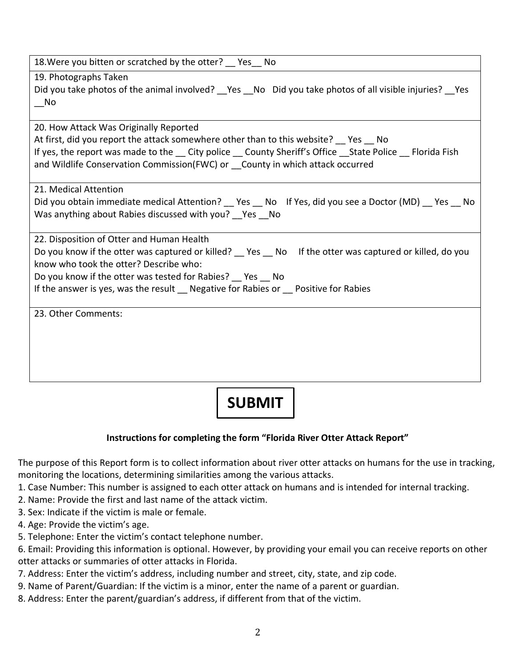| 18. Were you bitten or scratched by the otter? Fes No                                                        |
|--------------------------------------------------------------------------------------------------------------|
| 19. Photographs Taken                                                                                        |
| Did you take photos of the animal involved? __ Yes __ No Did you take photos of all visible injuries? __ Yes |
| No.                                                                                                          |
| 20. How Attack Was Originally Reported                                                                       |
| At first, did you report the attack somewhere other than to this website? __ Yes __ No                       |
| If yes, the report was made to the __ City police __ County Sheriff's Office __ State Police __ Florida Fish |
| and Wildlife Conservation Commission(FWC) or __ County in which attack occurred                              |
|                                                                                                              |
| 21. Medical Attention                                                                                        |
| Did you obtain immediate medical Attention? __ Yes __ No If Yes, did you see a Doctor (MD) __ Yes __ No      |
| Was anything about Rabies discussed with you? Yes No                                                         |
| 22. Disposition of Otter and Human Health                                                                    |
| Do you know if the otter was captured or killed? Fees No If the otter was captured or killed, do you         |
| know who took the otter? Describe who:                                                                       |
| Do you know if the otter was tested for Rabies? Yes No                                                       |
| If the answer is yes, was the result __ Negative for Rabies or __ Positive for Rabies                        |
|                                                                                                              |
| 23. Other Comments:                                                                                          |
|                                                                                                              |
|                                                                                                              |
|                                                                                                              |
|                                                                                                              |
|                                                                                                              |

## **SUBMIT**

## **Instructions for completing the form "Florida River Otter Attack Report"**

The purpose of this Report form is to collect information about river otter attacks on humans for the use in tracking, monitoring the locations, determining similarities among the various attacks.

- 1. Case Number: This number is assigned to each otter attack on humans and is intended for internal tracking.
- 2. Name: Provide the first and last name of the attack victim.
- 3. Sex: Indicate if the victim is male or female.
- 4. Age: Provide the victim's age.
- 5. Telephone: Enter the victim's contact telephone number.

6. Email: Providing this information is optional. However, by providing your email you can receive reports on other otter attacks or summaries of otter attacks in Florida.

- 7. Address: Enter the victim's address, including number and street, city, state, and zip code.
- 9. Name of Parent/Guardian: If the victim is a minor, enter the name of a parent or guardian.
- 8. Address: Enter the parent/guardian's address, if different from that of the victim.